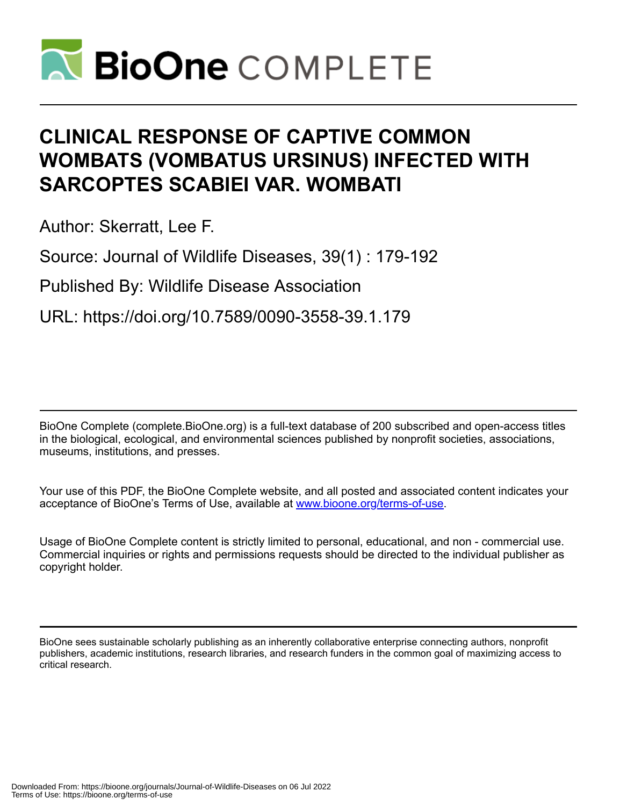

# **CLINICAL RESPONSE OF CAPTIVE COMMON WOMBATS (VOMBATUS URSINUS) INFECTED WITH SARCOPTES SCABIEI VAR. WOMBATI**

Author: Skerratt, Lee F.

Source: Journal of Wildlife Diseases, 39(1) : 179-192

Published By: Wildlife Disease Association

URL: https://doi.org/10.7589/0090-3558-39.1.179

BioOne Complete (complete.BioOne.org) is a full-text database of 200 subscribed and open-access titles in the biological, ecological, and environmental sciences published by nonprofit societies, associations, museums, institutions, and presses.

Your use of this PDF, the BioOne Complete website, and all posted and associated content indicates your acceptance of BioOne's Terms of Use, available at www.bioone.org/terms-of-use.

Usage of BioOne Complete content is strictly limited to personal, educational, and non - commercial use. Commercial inquiries or rights and permissions requests should be directed to the individual publisher as copyright holder.

BioOne sees sustainable scholarly publishing as an inherently collaborative enterprise connecting authors, nonprofit publishers, academic institutions, research libraries, and research funders in the common goal of maximizing access to critical research.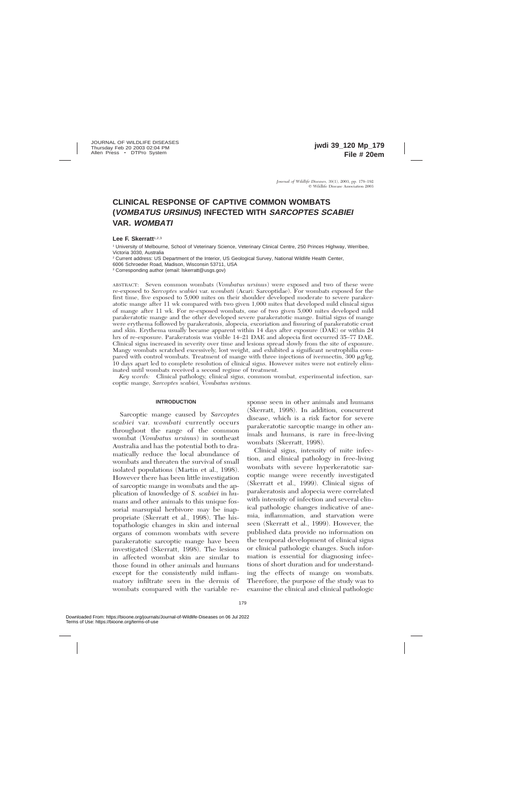# **CLINICAL RESPONSE OF CAPTIVE COMMON WOMBATS (VOMBATUS URSINUS) INFECTED WITH SARCOPTES SCABIEI VAR. WOMBATI**

# Lee F. Skerratt<sup>1,2,3</sup>

<sup>1</sup> University of Melbourne, School of Veterinary Science, Veterinary Clinical Centre, 250 Princes Highway, Werribee, Victoria 3030, Australia

<sup>2</sup> Current address: US Department of the Interior, US Geological Survey, National Wildlife Health Center,

6006 Schroeder Road, Madison, Wisconsin 53711, USA

<sup>3</sup> Corresponding author (email: lskerratt@usgs.gov)

ABSTRACT: Seven common wombats (*Vombatus ursinus*) were exposed and two of these were re-exposed to *Sarcoptes scabiei* var. *wombati* (Acari: Sarcoptidae). For wombats exposed for the first time, five exposed to 5,000 mites on their shoulder developed moderate to severe parakeratotic mange after 11 wk compared with two given 1,000 mites that developed mild clinical signs of mange after 11 wk. For re-exposed wombats, one of two given 5,000 mites developed mild parakeratotic mange and the other developed severe parakeratotic mange. Initial signs of mange were erythema followed by parakeratosis, alopecia, excoriation and fissuring of parakeratotic crust and skin. Erythema usually became apparent within 14 days after exposure (DAE) or within 24 hrs of re-exposure. Parakeratosis was visible 14–21 DAE and alopecia first occurred 35–77 DAE. Clinical signs increased in severity over time and lesions spread slowly from the site of exposure. Mangy wombats scratched excessively, lost weight, and exhibited a significant neutrophilia compared with control wombats. Treatment of mange with three injections of ivermectin, 300  $\mu$ g/kg, 10 days apart led to complete resolution of clinical signs. However mites were not entirely eliminated until wombats received a second regime of treatment.

*Key words:* Clinical pathology, clinical signs, common wombat, experimental infection, sarcoptic mange, *Sarcoptes scabiei, Vombatus ursinus.*

# **INTRODUCTION**

Sarcoptic mange caused by *Sarcoptes scabiei* var. *wombati* currently occurs throughout the range of the common wombat (*Vombatus ursinus*) in southeast Australia and has the potential both to dramatically reduce the local abundance of wombats and threaten the survival of small isolated populations (Martin et al., 1998). However there has been little investigation of sarcoptic mange in wombats and the application of knowledge of *S. scabiei* in humans and other animals to this unique fossorial marsupial herbivore may be inappropriate (Skerratt et al., 1998). The histopathologic changes in skin and internal organs of common wombats with severe parakeratotic sarcoptic mange have been investigated (Skerratt, 1998). The lesions in affected wombat skin are similar to those found in other animals and humans except for the consistently mild inflammatory infiltrate seen in the dermis of wombats compared with the variable response seen in other animals and humans (Skerratt, 1998). In addition, concurrent disease, which is a risk factor for severe parakeratotic sarcoptic mange in other animals and humans, is rare in free-living wombats (Skerratt, 1998).

Clinical signs, intensity of mite infection, and clinical pathology in free-living wombats with severe hyperkeratotic sarcoptic mange were recently investigated (Skerratt et al., 1999). Clinical signs of parakeratosis and alopecia were correlated with intensity of infection and several clinical pathologic changes indicative of anemia, inflammation, and starvation were seen (Skerratt et al., 1999). However, the published data provide no information on the temporal development of clinical signs or clinical pathologic changes. Such information is essential for diagnosing infections of short duration and for understanding the effects of mange on wombats. Therefore, the purpose of the study was to examine the clinical and clinical pathologic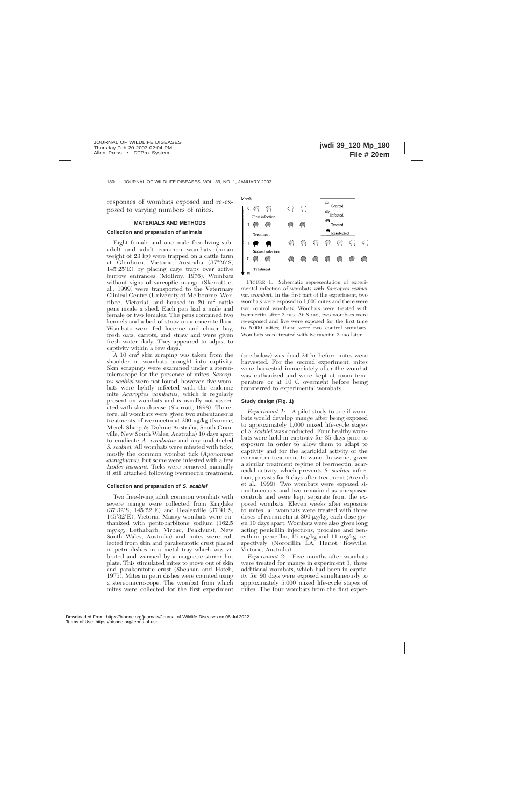responses of wombats exposed and re-exposed to varying numbers of mites.

# **MATERIALS AND METHODS**

#### **Collection and preparation of animals**

Eight female and one male free-living subadult and adult common wombats (mean weight of 23 kg) were trapped on a cattle farm at Glenburn, Victoria, Australia (37°26'S,  $145^{\circ}25'E$ ) by placing cage traps over active burrow entrances (McIlroy, 1976). Wombats without signs of sarcoptic mange (Skerratt et al., 1999) were transported to the Veterinary Clinical Centre (University of Melbourne, Werribee, Victoria), and housed in 20 m2 cattle pens inside a shed. Each pen had a male and female or two females. The pens contained two kennels and a bed of straw on a concrete floor. Wombats were fed lucerne and clover hay, fresh oats, carrots, and straw and were given fresh water daily. They appeared to adjust to captivity within a few days.

A 10 cm2 skin scraping was taken from the shoulder of wombats brought into captivity. Skin scrapings were examined under a stereomicroscope for the presence of mites. *Sarcoptes scabiei* were not found, however, five wombats were lightly infected with the endemic mite *Acaroptes vombatus,* which is regularly present on wombats and is usually not associated with skin disease (Skerratt, 1998). Therefore, all wombats were given two subcutaneous treatments of ivermectin at 200 ug/kg (Ivomec, Merck Sharp & Dohme Australia, South Granville, New South Wales, Australia) 10 days apart to eradicate *A. vombatus* and any undetected *S. scabiei.* All wombats were infested with ticks, mostly the common wombat tick (*Aponomma auruginans*), but some were infested with a few *Ixodes tasmani.* Ticks were removed manually if still attached following ivermectin treatment.

#### **Collection and preparation of S. scabiei**

Two free-living adult common wombats with severe mange were collected from Kinglake  $(37°32'S, 145°22'E)$  and Healesville  $(37°41'S, 145°2E)$ 145°32′E), Victoria. Mangy wombats were euthanized with pentobarbitone sodium (162.5 mg/kg, Lethabarb, Virbac, Peakhurst, New South Wales, Australia) and mites were collected from skin and parakeratotic crust placed in petri dishes in a metal tray which was vibrated and warmed by a magnetic stirrer hot plate. This stimulated mites to move out of skin and parakeratotic crust (Sheahan and Hatch, 1975). Mites in petri dishes were counted using a stereomicroscope. The wombat from which mites were collected for the first experiment



FIGURE 1. Schematic representation of experimental infection of wombats with *Sarcoptes scabiei* var. *wombati.* In the first part of the experiment, two wombats were exposed to 1,000 mites and there were two control wombats. Wombats were treated with ivermectin after 3 mo. At 8 mo, two wombats were re-exposed and five were exposed for the first time to 5,000 mites; there were two control wombats. Wombats were treated with ivermectin 3 mo later.

(see below) was dead 24 hr before mites were harvested. For the second experiment, mites were harvested immediately after the wombat was euthanized and were kept at room temperature or at 10 C overnight before being transferred to experimental wombats.

#### **Study design (Fig. 1)**

*Experiment 1:* A pilot study to see if wombats would develop mange after being exposed to approximately 1,000 mixed life-cycle stages of *S. scabiei* was conducted. Four healthy wombats were held in captivity for 35 days prior to exposure in order to allow them to adapt to captivity and for the acaricidal activity of the ivermectin treatment to wane. In swine, given a similar treatment regime of ivermectin, acaricidal activity, which prevents *S. scabiei* infection, persists for 9 days after treatment (Arends et al., 1999). Two wombats were exposed simultaneously and two remained as unexposed controls and were kept separate from the exposed wombats. Eleven weeks after exposure to mites, all wombats were treated with three doses of ivermectin at 300  $\mu$ g/kg, each dose given 10 days apart. Wombats were also given long acting penicillin injections, procaine and benzathine penicillin, 15 mg/kg and 11 mg/kg, respectively (Norocillin LA, Heriot, Rowville, Victoria, Australia).

*Experiment 2:* Five months after wombats were treated for mange in experiment 1, three additional wombats, which had been in captivity for 90 days were exposed simultaneously to approximately 5,000 mixed life-cycle stages of mites. The four wombats from the first exper-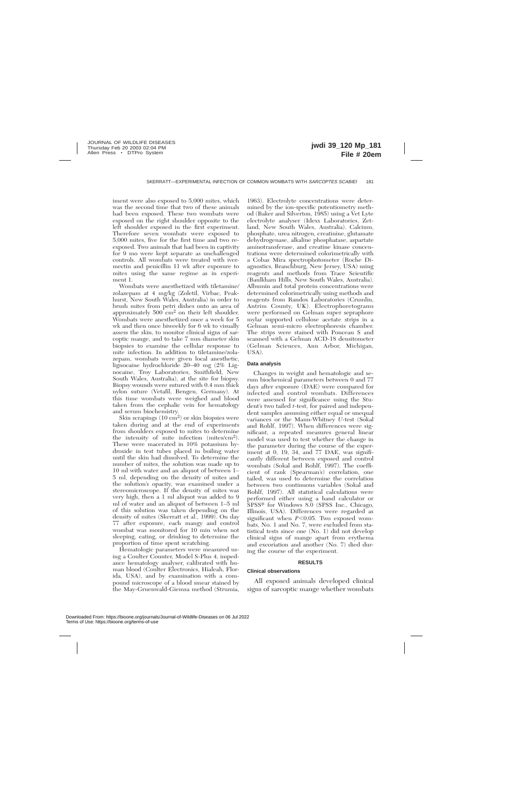iment were also exposed to 5,000 mites, which was the second time that two of these animals had been exposed. These two wombats were exposed on the right shoulder opposite to the left shoulder exposed in the first experiment. Therefore seven wombats were exposed to 5,000 mites, five for the first time and two reexposed. Two animals that had been in captivity for 9 mo were kept separate as unchallenged controls. All wombats were treated with ivermectin and penicillin 11 wk after exposure to mites using the same regime as in experiment 1.

Wombats were anesthetized with tiletamine/ zolazepam at 4 mg/kg (Zoletil, Virbac, Peakhurst, New South Wales, Australia) in order to brush mites from petri dishes onto an area of approximately  $500 \text{ cm}^2$  on their left shoulder. Wombats were anesthetized once a week for 5 wk and then once biweekly for 6 wk to visually assess the skin, to monitor clinical signs of sarcoptic mange, and to take 7 mm diameter skin biopsies to examine the cellular response to mite infection. In addition to tiletamine/zolazepam, wombats were given local anesthetic, lignocaine hydrochloride 20–40 mg (2% Lignocaine, Troy Laboratories, Smithfield, New South Wales, Australia), at the site for biopsy. Biopsy wounds were sutured with 0.4 mm thick nylon suture (Vetafil, Bengen, Germany). At this time wombats were weighed and blood taken from the cephalic vein for hematology and serum biochemistry.

Skin scrapings (10 cm2) or skin biopsies were taken during and at the end of experiments from shoulders exposed to mites to determine the intensity of mite infection (mites/cm2). These were macerated in 10% potassium hydroxide in test tubes placed in boiling water until the skin had dissolved. To determine the number of mites, the solution was made up to 10 ml with water and an aliquot of between 1– 5 ml, depending on the density of mites and the solution's opacity, was examined under a stereomicroscope. If the density of mites was very high, then a 1 ml aliquot was added to 9 ml of water and an aliquot of between 1–5 ml of this solution was taken depending on the density of mites (Skerratt et al., 1999). On day 77 after exposure, each mangy and control wombat was monitored for 10 min when not sleeping, eating, or drinking to determine the proportion of time spent scratching.

Hematologic parameters were measured using a Coulter Counter, Model S-Plus 4, impedance hematology analyser, calibrated with human blood (Coulter Electronics, Hialeah, Florida, USA), and by examination with a compound microscope of a blood smear stained by the May-Gruenwald-Giemsa method (Strumia,

1963). Electrolyte concentrations were determined by the ion-specific potentiometry method (Baker and Silverton, 1985) using a Vet Lyte electrolyte analyser (Idexx Laboratories, Zetland, New South Wales, Australia). Calcium, phosphate, urea nitrogen, creatinine, glutamate dehydrogenase, alkaline phosphatase, aspartate aminotransferase, and creatine kinase concentrations were determined colorimetrically with a Cobas Mira spectrophotometer (Roche Diagnostics, Branchburg, New Jersey, USA) using reagents and methods from Trace Scientific (Baulkham Hills, New South Wales, Australia). Albumin and total protein concentrations were determined colorimetrically using methods and reagents from Randox Laboratories (Crumlin, Antrim County, UK). Electrophoretograms were performed on Gelman super sepraphore mylar supported cellulose acetate strips in a Gelman semi-micro electrophoresis chamber. The strips were stained with Ponceau S and scanned with a Gelman ACD-18 densitometer (Gelman Sciences, Ann Arbor, Michigan, USA).

# **Data analysis**

Changes in weight and hematologic and serum biochemical parameters between 0 and 77 days after exposure (DAE) were compared for infected and control wombats. Differences were assessed for significance using the Student's two tailed *t*-test, for paired and independent samples assuming either equal or unequal variances or the Mann-Whitney *U-*test (Sokal and Rohlf, 1997). When differences were significant, a repeated measures general linear model was used to test whether the change in the parameter during the course of the experiment at 0, 19, 34, and 77 DAE, was significantly different between exposed and control wombats (Sokal and Rohlf, 1997). The coefficient of rank (Spearman's) correlation, one tailed, was used to determine the correlation between two continuous variables (Sokal and Rohlf, 1997). All statistical calculations were performed either using a hand calculator or SPSS<sup>®</sup> for Windows 8.0 (SPSS Inc., Chicago, Illinois, USA). Differences were regarded as significant when  $P<0.05$ . Two exposed wombats, No. 1 and No. 7, were excluded from statistical tests since one (No. 1) did not develop clinical signs of mange apart from erythema and excoriation and another (No. 7) died during the course of the experiment.

#### **RESULTS**

#### **Clinical observations**

All exposed animals developed clinical signs of sarcoptic mange whether wombats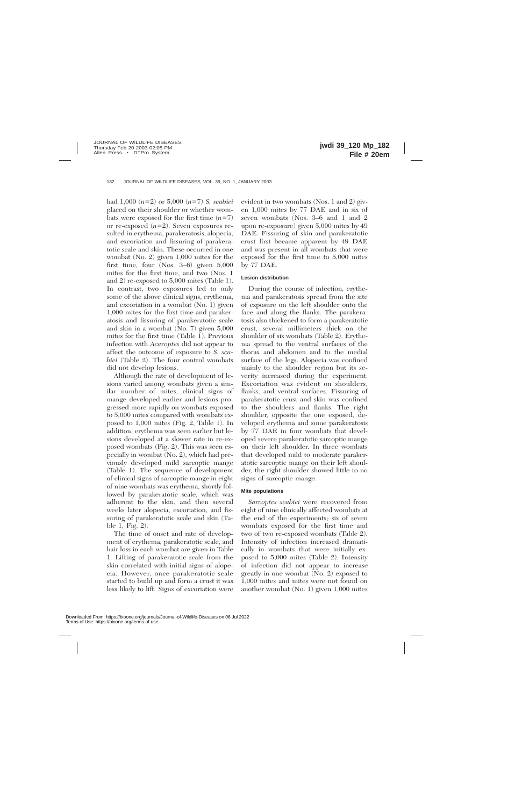had  $1,000 (n=2)$  or  $5,000 (n=7)$  *S. scabiei* placed on their shoulder or whether wombats were exposed for the first time  $(n=7)$ or re-exposed  $(n=2)$ . Seven exposures resulted in erythema, parakeratosis, alopecia, and excoriation and fissuring of parakeratotic scale and skin. These occurred in one wombat (No. 2) given 1,000 mites for the first time, four (Nos. 3–6) given 5,000 mites for the first time, and two (Nos. 1 and 2) re-exposed to 5,000 mites (Table 1). In contrast, two exposures led to only some of the above clinical signs, erythema, and excoriation in a wombat (No. 1) given 1,000 mites for the first time and parakeratosis and fissuring of parakeratotic scale and skin in a wombat (No. 7) given 5,000 mites for the first time (Table 1). Previous infection with *Acaroptes* did not appear to affect the outcome of exposure to *S. scabiei* (Table 2). The four control wombats did not develop lesions.

Although the rate of development of lesions varied among wombats given a similar number of mites, clinical signs of mange developed earlier and lesions progressed more rapidly on wombats exposed to 5,000 mites compared with wombats exposed to 1,000 mites (Fig. 2, Table 1). In addition, erythema was seen earlier but lesions developed at a slower rate in re-exposed wombats (Fig. 2). This was seen especially in wombat (No. 2), which had previously developed mild sarcoptic mange (Table 1). The sequence of development of clinical signs of sarcoptic mange in eight of nine wombats was erythema, shortly followed by parakeratotic scale, which was adherent to the skin, and then several weeks later alopecia, excoriation, and fissuring of parakeratotic scale and skin (Table 1, Fig. 2).

The time of onset and rate of development of erythema, parakeratotic scale, and hair loss in each wombat are given in Table 1. Lifting of parakeratotic scale from the skin correlated with initial signs of alopecia. However, once parakeratotic scale started to build up and form a crust it was less likely to lift. Signs of excoriation were

evident in two wombats (Nos. 1 and 2) given 1,000 mites by 77 DAE and in six of seven wombats (Nos. 3–6 and 1 and 2 upon re-exposure) given 5,000 mites by 49 DAE. Fissuring of skin and parakeratotic crust first became apparent by 49 DAE and was present in all wombats that were exposed for the first time to 5,000 mites by 77 DAE.

# **Lesion distribution**

During the course of infection, erythema and parakeratosis spread from the site of exposure on the left shoulder onto the face and along the flanks. The parakeratosis also thickened to form a parakeratotic crust, several millimeters thick on the shoulder of six wombats (Table 2). Erythema spread to the ventral surfaces of the thorax and abdomen and to the medial surface of the legs. Alopecia was confined mainly to the shoulder region but its severity increased during the experiment. Excoriation was evident on shoulders, flanks, and ventral surfaces. Fissuring of parakeratotic crust and skin was confined to the shoulders and flanks. The right shoulder, opposite the one exposed, developed erythema and some parakeratosis by 77 DAE in four wombats that developed severe parakeratotic sarcoptic mange on their left shoulder. In three wombats that developed mild to moderate parakeratotic sarcoptic mange on their left shoulder, the right shoulder showed little to no signs of sarcoptic mange.

# **Mite populations**

*Sarcoptes scabiei* were recovered from eight of nine clinically affected wombats at the end of the experiments; six of seven wombats exposed for the first time and two of two re-exposed wombats (Table 2). Intensity of infection increased dramatically in wombats that were initially exposed to 5,000 mites (Table 2). Intensity of infection did not appear to increase greatly in one wombat (No. 2) exposed to 1,000 mites and mites were not found on another wombat (No. 1) given 1,000 mites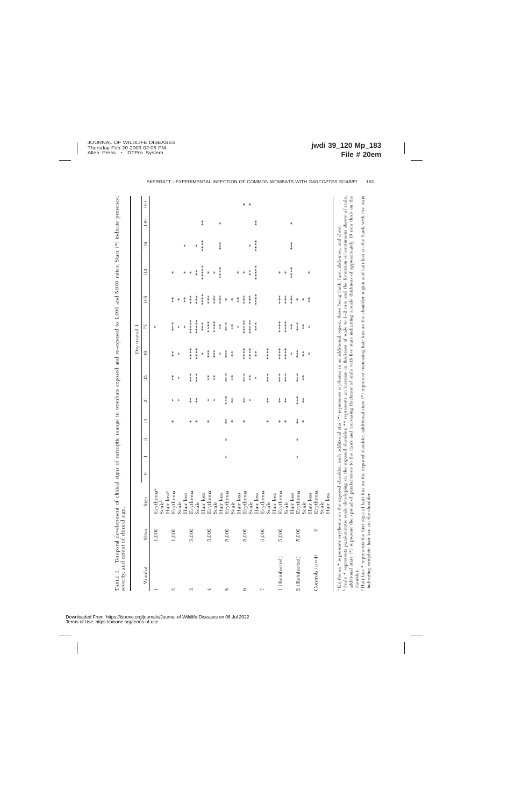| J<br>İ<br>Í                                                                                                                                                                                                                         |                                                                        |
|-------------------------------------------------------------------------------------------------------------------------------------------------------------------------------------------------------------------------------------|------------------------------------------------------------------------|
| i                                                                                                                                                                                                                                   |                                                                        |
| í                                                                                                                                                                                                                                   |                                                                        |
|                                                                                                                                                                                                                                     |                                                                        |
|                                                                                                                                                                                                                                     |                                                                        |
|                                                                                                                                                                                                                                     |                                                                        |
| ì                                                                                                                                                                                                                                   |                                                                        |
| i<br>i                                                                                                                                                                                                                              |                                                                        |
| Ì<br>ì                                                                                                                                                                                                                              |                                                                        |
|                                                                                                                                                                                                                                     |                                                                        |
|                                                                                                                                                                                                                                     |                                                                        |
|                                                                                                                                                                                                                                     |                                                                        |
|                                                                                                                                                                                                                                     |                                                                        |
| ł                                                                                                                                                                                                                                   |                                                                        |
|                                                                                                                                                                                                                                     |                                                                        |
| ĺ                                                                                                                                                                                                                                   |                                                                        |
| í                                                                                                                                                                                                                                   |                                                                        |
| ٢<br>ئ                                                                                                                                                                                                                              |                                                                        |
| ļ<br>i                                                                                                                                                                                                                              |                                                                        |
| i                                                                                                                                                                                                                                   |                                                                        |
|                                                                                                                                                                                                                                     |                                                                        |
| l                                                                                                                                                                                                                                   |                                                                        |
| j<br>j                                                                                                                                                                                                                              |                                                                        |
| j<br>Î                                                                                                                                                                                                                              |                                                                        |
|                                                                                                                                                                                                                                     |                                                                        |
| こうてき くろくさく<br>ı<br>J                                                                                                                                                                                                                |                                                                        |
|                                                                                                                                                                                                                                     |                                                                        |
|                                                                                                                                                                                                                                     |                                                                        |
| is a company of the company of the company of the company of the company of the company of the company of the company of the company of the company of the company of the company of the company of the company of the company<br>l |                                                                        |
| :<br>;                                                                                                                                                                                                                              |                                                                        |
|                                                                                                                                                                                                                                     |                                                                        |
| ۲<br>}<br>i<br>j<br>J                                                                                                                                                                                                               |                                                                        |
| $\frac{1}{2}$<br>ica                                                                                                                                                                                                                |                                                                        |
|                                                                                                                                                                                                                                     |                                                                        |
|                                                                                                                                                                                                                                     |                                                                        |
| i                                                                                                                                                                                                                                   | i<br>i<br>E                                                            |
| į<br>i                                                                                                                                                                                                                              | ł                                                                      |
| I                                                                                                                                                                                                                                   | İ<br>١                                                                 |
| i                                                                                                                                                                                                                                   |                                                                        |
| í<br>$\ddot{\phantom{a}}$<br>í                                                                                                                                                                                                      |                                                                        |
| l<br>֚֓<br>í<br>l<br>į<br>$\ddot{\phantom{a}}$                                                                                                                                                                                      | i<br>ׇ֖֖֖֖֖֖֧ׅ֖֖֖֧ׅ֖֧֖֧֪֪֪֪֪֪֪֪֧֚֚֚֚֚֚֚֚֚֚֚֚֚֚֚֚֚֚֚֚֚֡֬֝֬֝֬֝֓֞֝֬֞<br>i |
| Į<br>l                                                                                                                                                                                                                              | j<br>i                                                                 |
| l                                                                                                                                                                                                                                   | .<br>י                                                                 |
| ļ<br>í<br>Ì                                                                                                                                                                                                                         | <b>Controller</b>                                                      |
| ŀ                                                                                                                                                                                                                                   | ï<br>١<br>t                                                            |

|                                                                                                                                                                                                                                                                                                                                                                                                                                                                                                                                                                                             |              |                                             |         |                |   |                           |                                          |                                |                                               | Day treated $\downarrow$                        |                             |                                          |            |     |     |
|---------------------------------------------------------------------------------------------------------------------------------------------------------------------------------------------------------------------------------------------------------------------------------------------------------------------------------------------------------------------------------------------------------------------------------------------------------------------------------------------------------------------------------------------------------------------------------------------|--------------|---------------------------------------------|---------|----------------|---|---------------------------|------------------------------------------|--------------------------------|-----------------------------------------------|-------------------------------------------------|-----------------------------|------------------------------------------|------------|-----|-----|
| Wombat                                                                                                                                                                                                                                                                                                                                                                                                                                                                                                                                                                                      | <b>Mites</b> | Sign                                        | $\circ$ | $\overline{ }$ | 3 | $\overline{14}$           | $\overline{\Omega}$                      | 33                             | 49                                            | N                                               | 105                         | 112                                      | 119        | 140 | 161 |
|                                                                                                                                                                                                                                                                                                                                                                                                                                                                                                                                                                                             | 1,000        | Erythema <sup>s</sup><br>Scaleb             |         |                |   |                           |                                          |                                |                                               | ⋇                                               |                             |                                          |            |     |     |
| Z                                                                                                                                                                                                                                                                                                                                                                                                                                                                                                                                                                                           | 1,000        | Hair loss <sup>c</sup><br>Erythema<br>Scale |         |                |   | ⋇                         | ₩<br>⋇                                   | $\stackrel{*}{*}$<br>₩         | $\begin{array}{c} * \ * \ * \end{array}$<br>₩ | ***<br>₩                                        | $\stackrel{*}{\ast}$<br>₩   | ₩                                        |            |     |     |
| S                                                                                                                                                                                                                                                                                                                                                                                                                                                                                                                                                                                           | 5,000        | Erythema<br>Hair loss                       |         |                |   | ⋇                         | $\frac{*}{*}$                            | ***                            | *****                                         | ******<br>$\ast$                                | ***<br>$\stackrel{*}{\ast}$ | ₩<br>⋇                                   | ⋇          |     |     |
|                                                                                                                                                                                                                                                                                                                                                                                                                                                                                                                                                                                             |              | Hair loss<br>Scale                          |         |                |   | ⋇                         | $\stackrel{*}{\ast}$                     | ***                            | ****<br>¥                                     | ******<br>***                                   | *****<br>***                | ******<br>$*$                            | *****<br>₩ | $*$ |     |
|                                                                                                                                                                                                                                                                                                                                                                                                                                                                                                                                                                                             | 5,000        | Erythema<br>Scale                           |         |                |   | ⋇                         | ⋇<br>⋇                                   | $\frac{*}{*}$<br>$\frac{*}{*}$ | ***<br>***                                    | *****<br>*****                                  | ***<br>***                  | ₩<br>$\divideontimes$                    |            |     |     |
| JO.                                                                                                                                                                                                                                                                                                                                                                                                                                                                                                                                                                                         | 5,000        | Erythema<br>Hair loss                       |         | ₩              | ₩ | $\stackrel{*}{*}$         | ***                                      | ***                            | ***<br>$\ast$                                 | ***<br>$*$                                      | ***<br>$\frac{M}{N}$        | *****                                    | ***        | ⋇   |     |
|                                                                                                                                                                                                                                                                                                                                                                                                                                                                                                                                                                                             |              | Scale                                       |         |                |   | ⋇                         | $\begin{array}{c} * \ * \ * \end{array}$ | $* \atop *$                    | $*$                                           | $*$                                             | $\ast$                      |                                          |            |     |     |
| G                                                                                                                                                                                                                                                                                                                                                                                                                                                                                                                                                                                           | 5,000        | Erythema<br>Hair loss                       |         |                |   | ⋇                         | $\stackrel{*}{*}$                        | ***                            | *****                                         | ******<br>$\ast$                                | ***<br>$\stackrel{*}{\ast}$ | ⋇<br>⋇                                   |            |     | ₩   |
|                                                                                                                                                                                                                                                                                                                                                                                                                                                                                                                                                                                             |              | Scale                                       |         |                |   |                           | ⋇                                        | $\stackrel{*}{*}$              | *****                                         | ******                                          | ***                         | $\begin{array}{c} * \ * \ * \end{array}$ | ₩          |     | ⋇   |
| Ņ                                                                                                                                                                                                                                                                                                                                                                                                                                                                                                                                                                                           | 5,000        | Hair loss                                   |         |                |   |                           |                                          | ₩                              | $\begin{array}{c} * \ * \ * \end{array}$      | ***                                             | *****                       | ******                                   | *****      | $*$ |     |
|                                                                                                                                                                                                                                                                                                                                                                                                                                                                                                                                                                                             |              | Erythema<br>Scale<br>Hair loss              |         |                |   | ₩                         | $*$                                      | ***                            | *****                                         |                                                 |                             |                                          |            |     |     |
| 1 (Reinfected)                                                                                                                                                                                                                                                                                                                                                                                                                                                                                                                                                                              | 5,000        | Erythema<br>Scale                           |         |                |   | ⋇<br>⋇                    | $*$<br>$*$                               | ***<br>***                     | *****<br>*****                                | *****<br>*****                                  | ***<br>***                  | $\ast$<br>⋇                              |            |     |     |
|                                                                                                                                                                                                                                                                                                                                                                                                                                                                                                                                                                                             |              | Hair loss                                   |         |                |   |                           |                                          |                                | $\ast$                                        | $*$                                             | ***                         | *****                                    | ***        | ⋇   |     |
| 2 (Reinfected)                                                                                                                                                                                                                                                                                                                                                                                                                                                                                                                                                                              | 5,000        | Erythema<br>Scale                           |         | ₩              | ⋇ | $\stackrel{*}{\ast}$<br>₩ | ***<br>$*$                               | ***<br>$* \atop *$             | ***<br>$*$                                    | ***<br>$\begin{array}{c} * \ * \ * \end{array}$ | ₩<br>₩                      |                                          |            |     |     |
| Controls $(n=4)$                                                                                                                                                                                                                                                                                                                                                                                                                                                                                                                                                                            | $\circ$      | Erythema<br>Scale<br>Hair loss              |         |                |   |                           |                                          |                                | ₩                                             | ₩                                               | $\stackrel{*}{\ast}$        | ₩                                        |            |     |     |
|                                                                                                                                                                                                                                                                                                                                                                                                                                                                                                                                                                                             |              | Hair loss                                   |         |                |   |                           |                                          |                                |                                               |                                                 |                             |                                          |            |     |     |
| additional stars (*) represent the spread of parakeratosis to the flank and increasing thickness of scale with five stars indicating a scale thickness of approximately 10 mm thick on the<br><sup>b</sup> Scale * represents parakeratotic scale developing on the exposed shoulder, ** represents an increase in thickness of scale to 1-2 mm and the formation of continuous sheets of scale,<br><sup>a</sup> Erythema * represents erythema on the exposed shoulder, each additional star (*) represents erythema in an additional region, these being flank, face, abdomen, and chest. |              |                                             |         |                |   |                           |                                          |                                |                                               |                                                 |                             |                                          |            |     |     |

shoulder.

shoulder.

indicating complete hair loss on the shoulder.

° Hair loss \* represents the first signs of hair loss on the exposed shoulder, additional stars (\*) represent increasing hair loss on the shoulder region and hair loss on the flank, with five stars indicating complete hair Hair loss \* represents the first signs of hair loss on the exposed shoulder, additional stars (\*) represent increasing hair loss on the shoulder region and hair loss on the flank, with five stars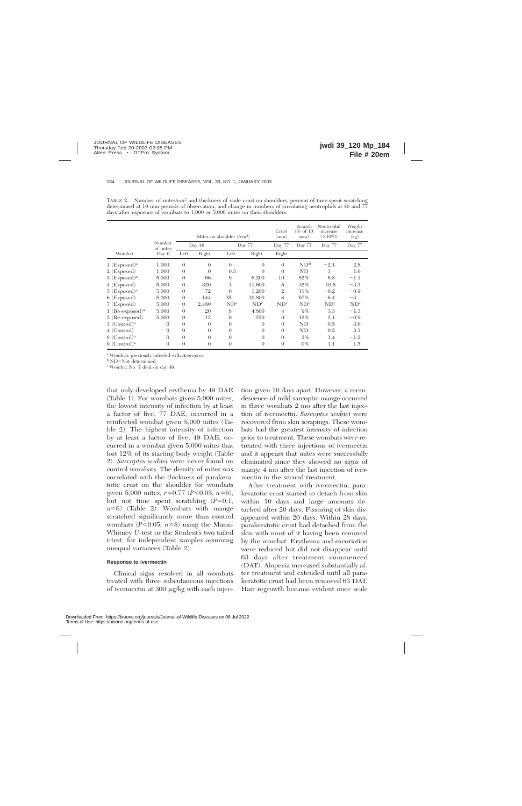|                               |                    |                |          | Mites on shoulder $(\text{/cm}^2)$ |                 | Crust<br>$\rm (mm)$ | Scratch<br>(% of 10)<br>min) | Neutrophil<br>increase<br>$(\times 10^{9}$ /l) | Weight<br>increase<br>(kg) |
|-------------------------------|--------------------|----------------|----------|------------------------------------|-----------------|---------------------|------------------------------|------------------------------------------------|----------------------------|
|                               | Number<br>of mites |                | Day 46   |                                    | Day 77          | Day 77              | Day 77                       | Day 77                                         | Day 77                     |
| Wombat                        | Day 0              | Left           | Right    | Left                               | Right           | Right               |                              |                                                |                            |
| $1$ (Exposed) <sup>a</sup>    | 1,000              | $\theta$       | $\theta$ | $\Omega$                           | $\Omega$        | $\theta$            | ND <sup>b</sup>              | $-2.1$                                         | 2.8                        |
| $2$ (Exposed)                 | 1,000              | $\theta$       | 0        | 0.3                                | $\Omega$        | $\theta$            | ND                           | 3                                              | 1.6                        |
| $3$ (Exposed) <sup>a</sup>    | 5,000              | $\theta$       | 66       | 9                                  | 6,200           | 10                  | 52%                          | 6.8                                            | $-1.1$                     |
| 4 (Exposed)                   | 5,000              | $\theta$       | 320      | 3                                  | 11,600          | 5                   | 32%                          | 10.6                                           | $-3.3$                     |
| $5$ (Exposed) <sup>a</sup>    | 5,000              | $\theta$       | 72       | $\Omega$                           | 1.200           | $\overline{2}$      | 11%                          | $-0.2$                                         | $-0.9$                     |
| 6 (Exposed)                   | 5,000              | $\theta$       | 144      | 35                                 | 10,800          | 8                   | 67%                          | 6.4                                            | $-3$                       |
| 7 (Exposed)                   | 5,000              | $\theta$       | 2,480    | ND <sup>c</sup>                    | ND <sup>c</sup> | ND <sup>c</sup>     | ND <sup>c</sup>              | ND <sup>c</sup>                                | ND <sup>c</sup>            |
| $1$ (Re-exposed) <sup>a</sup> | 5,000              | $\theta$       | 20       | 8                                  | 4,800           | $\overline{4}$      | $9\%$                        | 3.3                                            | $-1.3$                     |
| 2 (Re-exposed)                | 5,000              | $\theta$       | 12       | $\Omega$                           | 220             | $\theta$            | 12%                          | 2.1                                            | $-0.9$                     |
| $3$ (Control) <sup>a</sup>    | $\Omega$           | $\theta$       | $\theta$ | $\Omega$                           | $\Omega$        | $\theta$            | ND                           | 0.5                                            | 3.6                        |
| 4 (Control)                   | $\Omega$           | $\Omega$       | $\Omega$ | $\Omega$                           | $\theta$        | $\Omega$            | ND                           | 0.2                                            | 3.1                        |
| $8$ (Control) <sup>a</sup>    | $\Omega$           | $\theta$       | $\Omega$ | $\Omega$                           | $\Omega$        | $\theta$            | $2\%$                        | 1.4                                            | $-1.2$                     |
| $9$ (Control) <sup>a</sup>    | $\Omega$           | $\overline{0}$ | $\theta$ | $\Omega$                           | $\Omega$        | $\overline{0}$      | $0\%$                        | 1.1                                            | 1.5                        |

TABLE 2. Number of mites/cm<sup>2</sup> and thickness of scale crust on shoulders, percent of time spent scratching determined at 10 min periods of observation, and change in numbers of circulating neutrophils at 46 and 77 days after exposure of wombats to 1,000 or 5,000 mites on their shoulders.

<sup>a</sup> Wombats previously infected with *Acaroptes.*

b ND=Not determined.

<sup>c</sup> Wombat No. 7 died on day 49.

that only developed erythema by 49 DAE (Table 1). For wombats given 5,000 mites, the lowest intensity of infection by at least a factor of five, 77 DAE, occurred in a reinfected wombat given 5,000 mites (Table 2). The highest intensity of infection by at least a factor of five, 49 DAE, occurred in a wombat given 5,000 mites that lost 12% of its starting body weight (Table 2). *Sarcoptes scabiei* were never found on control wombats. The density of mites was correlated with the thickness of parakeratotic crust on the shoulder for wombats given 5,000 mites,  $r=0.77$  ( $P<0.05$ ,  $n=6$ ), but not time spent scratching  $(P=0.1,$  $n=6$ ) (Table 2). Wombats with mange scratched significantly more than control wombats  $(P<0.05, n=8)$  using the Mann-Whitney *U*-test or the Student's two tailed *t*-test, for independent samples assuming unequal variances (Table 2).

# **Response to ivermectin**

Clinical signs resolved in all wombats treated with three subcutaneous injections of ivermectin at 300  $\mu$ g/kg with each injection given 10 days apart. However, a recrudescence of mild sarcoptic mange occurred in three wombats 2 mo after the last injection of ivermectin. *Sarcoptes scabiei* were recovered from skin scrapings. These wombats had the greatest intensity of infection prior to treatment. These wombats were retreated with three injections of ivermectin and it appears that mites were successfully eliminated since they showed no signs of mange 4 mo after the last injection of ivermectin in the second treatment.

After treatment with ivermectin, parakeratotic crust started to detach from skin within 10 days and large amounts detached after 20 days. Fissuring of skin disappeared within 20 days. Within 28 days, parakeratotic crust had detached from the skin with most of it having been removed by the wombat. Erythema and excoriation were reduced but did not disappear until 63 days after treatment commenced (DAT). Alopecia increased substantially after treatment and extended until all parakeratotic crust had been removed 63 DAT. Hair regrowth became evident once scale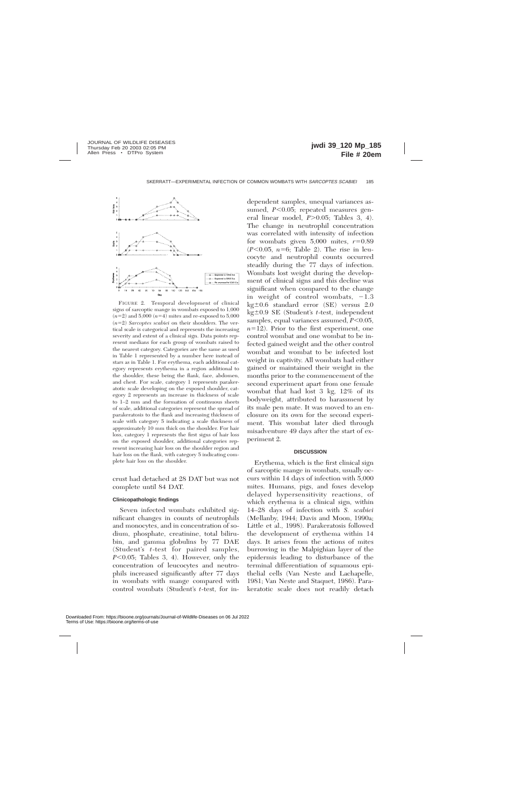

FIGURE 2. Temporal development of clinical signs of sarcoptic mange in wombats exposed to 1,000  $(n=2)$  and 5,000  $(n=4)$  mites and re-exposed to 5,000  $(n=2)$  *Sarcoptes scabiei* on their shoulders. The vertical scale is categorical and represents the increasing severity and extent of a clinical sign. Data points represent medians for each group of wombats raised to the nearest category. Categories are the same as used in Table 1 represented by a number here instead of stars as in Table 1. For erythema, each additional category represents erythema in a region additional to the shoulder, these being the flank, face, abdomen, and chest. For scale, category 1 represents parakeratotic scale developing on the exposed shoulder, category 2 represents an increase in thickness of scale to 1–2 mm and the formation of continuous sheets of scale, additional categories represent the spread of parakeratosis to the flank and increasing thickness of scale with category 5 indicating a scale thickness of approximately 10 mm thick on the shoulder. For hair loss, category 1 represents the first signs of hair loss on the exposed shoulder, additional categories represent increasing hair loss on the shoulder region and hair loss on the flank, with category 5 indicating complete hair loss on the shoulder.

crust had detached at 28 DAT but was not complete until 84 DAT.

## **Clinicopathologic findings**

Seven infected wombats exhibited significant changes in counts of neutrophils and monocytes, and in concentration of sodium, phosphate, creatinine, total bilirubin, and gamma globulins by 77 DAE (Student's *t*-test for paired samples,  $P<0.05$ ; Tables 3, 4). However, only the concentration of leucocytes and neutrophils increased significantly after 77 days in wombats with mange compared with control wombats (Student's *t*-test, for independent samples, unequal variances assumed,  $P<0.05$ ; repeated measures general linear model,  $P > 0.05$ ; Tables 3, 4). The change in neutrophil concentration was correlated with intensity of infection for wombats given  $5,000$  mites,  $r=0.89$  $(P<0.05, n=6;$  Table 2). The rise in leucocyte and neutrophil counts occurred steadily during the 77 days of infection. Wombats lost weight during the development of clinical signs and this decline was significant when compared to the change in weight of control wombats,  $-1.3$  $kg \pm 0.6$  standard error (SE) versus 2.0 kg $\pm$ 0.9 SE (Student's *t*-test, independent samples, equal variances assumed,  $P<0.05$ ,  $n=12$ ). Prior to the first experiment, one control wombat and one wombat to be infected gained weight and the other control wombat and wombat to be infected lost weight in captivity. All wombats had either gained or maintained their weight in the months prior to the commencement of the second experiment apart from one female wombat that had lost 3 kg, 12% of its bodyweight, attributed to harassment by its male pen mate. It was moved to an enclosure on its own for the second experiment. This wombat later died through misadventure 49 days after the start of experiment 2.

#### **DISCUSSION**

Erythema, which is the first clinical sign of sarcoptic mange in wombats, usually occurs within 14 days of infection with 5,000 mites. Humans, pigs, and foxes develop delayed hypersensitivity reactions, of which erythema is a clinical sign, within 14–28 days of infection with *S. scabiei* (Mellanby, 1944; Davis and Moon, 1990a; Little et al., 1998). Parakeratosis followed the development of erythema within 14 days. It arises from the actions of mites burrowing in the Malpighian layer of the epidermis leading to disturbance of the terminal differentiation of squamous epithelial cells (Van Neste and Lachapelle, 1981; Van Neste and Staquet, 1986). Parakeratotic scale does not readily detach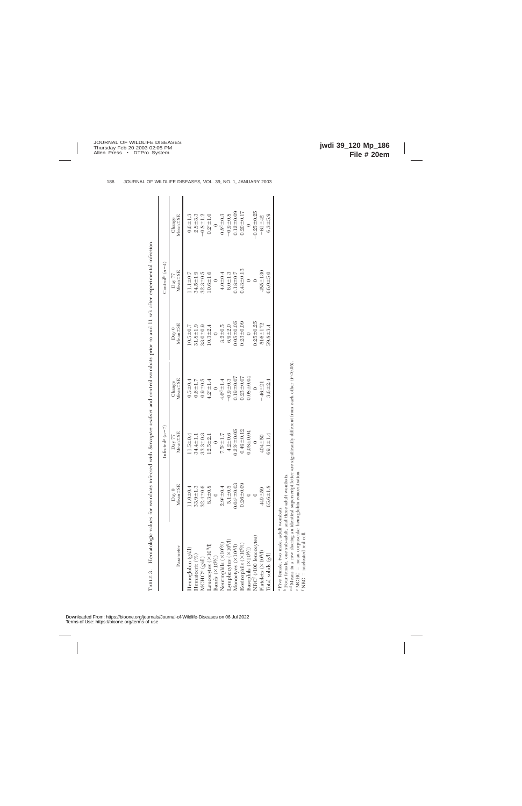|                                                                                                                              |                                | Infected <sup>a</sup> $(n=7)$ |                                                                                 |                                 | Control <sup>b</sup> $(n=4)$                         |                         |
|------------------------------------------------------------------------------------------------------------------------------|--------------------------------|-------------------------------|---------------------------------------------------------------------------------|---------------------------------|------------------------------------------------------|-------------------------|
| Parameter                                                                                                                    | $Mean = SE$<br>$_{\text{Day}}$ | $Mean = SE$<br>Day $77\,$     | $\begin{array}{c} \mathrm{Change} \\ \mathrm{Mean} \pm \mathrm{SE} \end{array}$ | $Mean = SE$<br>$\mathrm{Day}~0$ | $_{\mathrm{Day}~77}^{\mathrm{Day}~77}$ Mean $\pm$ SE | $Mean \pm SE$<br>Change |
| Hemoglobin (g/dl)                                                                                                            | $1.0 + 0$                      | $1.5 + 0.4$                   | $0.5 + 0.4$                                                                     | $10.5 + 0.7$                    | $11.1 \pm 0.7$                                       | $0.6 + 1.3$             |
| Hematocrit $(\%)$                                                                                                            | $33.9 + 1$                     | 34.4±1.1                      | $0.6 + 1.7$                                                                     | $31.8 + 1.9$                    | $34.5 \pm 1.9$                                       | $2.8 + 3.3$             |
| MCHC <sup>e</sup> (g/dl)                                                                                                     | $32.4 \pm 0$                   | $33.3 + 0.3$                  | $0.9 + 0.5$                                                                     | $33.0 + 0.9$                    | $32.3 \pm 0.5$                                       | $-0.8 \pm 1.2$          |
| Leucocytes $(X109/1)$                                                                                                        | $8.3 \pm 0.$                   | $12.5 + 2.1$                  | $1.2^{\circ} = 1.4$                                                             | $10.3 + 2.4$                    | $10.6 + 1.6$                                         | $0.2^{\circ}$ = 1.0     |
| Bands $(\times 10^9/\text{T})$                                                                                               | $\overline{\phantom{0}}$       | $\overline{0}$                | $\overline{0}$                                                                  | $\circ$                         | $\circ$                                              | $\ddot{\phantom{0}}$    |
| Neutrophils (×109/1)                                                                                                         | $2.9^{\circ} = 0$              | $7.5^{\circ}$ $\pm$ 1.7       | $4.6d_{\pm}1.4$                                                                 | $3.2 + 0.5$                     | $4.0 - 0.4$                                          | $0.8^{d} \pm 0.3$       |
| Lymphocytes (×10 <sup>9</sup> /l)                                                                                            | $5.1 \pm 0.$                   | $4.2 + 0.6$                   | $-0.9 + 0.3$                                                                    | $6.9 + 2.0$                     | $6.0 - 1.3$                                          | $-0.9 + 0.8$            |
| Monoctyes $(\times 10^{9}$ /l)                                                                                               | $0.04^{\circ} = 0.03$          | $0.23^{\circ} = 0.05$         | $0.19 \pm 0.07$                                                                 | $0.05 \pm 0.05$                 | $0.18 + 0.7$                                         | $0.12 \pm 0.09$         |
| Eosinophils (×10 <sup>9</sup> /l)                                                                                            | $0.26 + 0.09$                  | $0.49 + 0.12$                 | $0.23 \pm 0.07$                                                                 | $0.23 \pm 0.09$                 | $.43 \pm 0.13$                                       | $0.20 + 0.17$           |
| Basophils (×10 <sup>9</sup> /l)                                                                                              |                                | $0.08 + 0.04$                 | $0.08 + 0.04$                                                                   | $\overline{0}$                  | $\circ$                                              | $\overline{0}$          |
| NRC <sup>f</sup> (/100 leucocytes)                                                                                           |                                |                               |                                                                                 | $0.25 \pm 0.25$                 |                                                      | $-0.25 \pm 0.25$        |
| Platelets (×10 <sup>9</sup> /l)                                                                                              | 449±59                         | $404 + 50$                    | $-46 = 21$                                                                      | $516 \pm 172$                   | $455 + 130$                                          | $-61 + 42$              |
| Total solids (g/l)                                                                                                           | $65.6 \pm 1$                   | $69.1 \pm 1.4$                | $3.6 + 2.4$                                                                     | $59.8 \pm 3.4$                  | $36.0 + 5.0$                                         | $6.3 + 5.9$             |
| منداست والبلام ممتلا المما التالي والمستحد والمستكن والمستحد والمستحدث<br><sup>a</sup> Five female, two male, adult wombats. |                                |                               |                                                                                 |                                 |                                                      |                         |

Four female, one sub-adult, and three adult wombats.

 $^{\rm c,d}$  Means in a row sharing an identical superscript letter are significantly different from each other (P<0.05). <br> <br> • MCHC = mean corpuscular hemoglobin concentration. c,d Means in a row sharing an identical superscript letter are significantly different from each other (*P*,0.05). e

e MCHC = mean corpuscular hemoglobin concentration.<br>f NRC = nucleated red cell.  $f$  NRC = nucleated red cell.

TABLE 3.

TABLE 3. Hematologic values for wombats infected with *Sarcoptes scabiei* and control wombats prior to and 11 wk after experimental infection.

Hematologic values for wombats infected with Sarcoptes scabiet and control wombats prior to and 11 wk after experimental infection.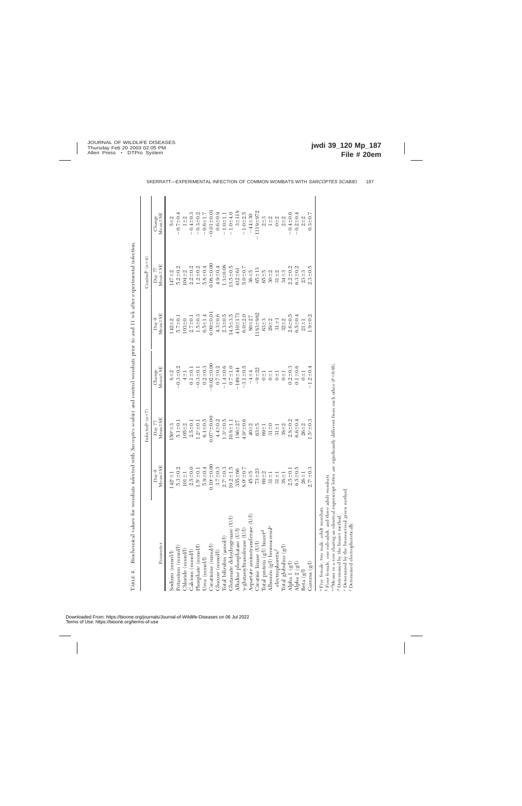|                                                                                                                                                      |                                                          | Infected <sup>a</sup> $(n=7)$ |                                     |                                  | Control <sup>b</sup> $(n=4)$ |                         |
|------------------------------------------------------------------------------------------------------------------------------------------------------|----------------------------------------------------------|-------------------------------|-------------------------------------|----------------------------------|------------------------------|-------------------------|
| Parameter                                                                                                                                            | Mean <sup>+</sup> SE<br>$\mathrm{Day}~0$<br>$\mathsf{l}$ | $Mean \pm SE$<br>Day 77       | $Mean = SE$<br>Change               | $Mean = SE$<br>$\mathbf{D}$ ay 0 | $Mean = SE$<br>Day 77        | $Mean \pm SE$<br>Change |
| Sodium (mnol/l)                                                                                                                                      | $142^{\circ}$ = 1                                        | $150c + 3$                    | $8 + 2$                             | $142 + 2$                        | $147 + 2$                    | $5 + 2$                 |
|                                                                                                                                                      | $5.3 \pm 0.2$                                            | $5.1 \pm 0.1$                 | $-0.3 + 0.2$                        | $5.7 \pm 0.1$                    | $5.2 \pm 0.2$                | $-0.7 \pm 0.4$          |
| ${\rm Potsium~(mmol/l)}\\ {\rm Chloride~(mmol/l)}\\$                                                                                                 | $101 \pm 1$                                              | $105 + 2$                     | $4 \pm 1$                           | $103 + 0$                        | $104 + 2$                    | $1\pm 2$                |
|                                                                                                                                                      | $2.5 + 0.0$                                              | $2.5 + 0.1$                   | $0.1 + 0.1$                         | $2.7 \pm 0.1$                    | $2.2 + 0.2$                  | $-0.4 \pm 0.3$          |
| Calcium (mmol/l)<br>Phosphate (mmol/l)                                                                                                               | $1.5^{\circ} = 0.1$                                      | $1.2^{\circ} = 0.1$           | $-0.3 \pm 0.1$                      | $1.5 \pm 0.3$                    | $1.2 + 0.2$                  | $-0.3 + 0.2$            |
| Urea $(\mathrm{mmol/l})$                                                                                                                             | $5.9 + 0.4$                                              | $6.1 + 0.5$                   | $0.2 + 0.3$                         | $6.5 \pm 1.4$                    | $5.8 + 0.4$                  | $-0.6 \pm 1.7$          |
| Creatinine (mmol/l)                                                                                                                                  | $10^{\circ} = 0.00$                                      | $0.07^{\circ}$ ± 0.00         | $-0.02 \pm 0.00$                    | $0.09 + 0.0$                     | $0.08 + 0.00$                | $-0.01 \pm 0.0$         |
| $\operatorname{Glucose}\,(\mathrm{mmol/l})$                                                                                                          | $3.7 + 0.3$                                              | $4.4 + 0.2$                   | $0.7 - 0.2$                         | $4.3 \pm 0.6$                    | $4.9 + 0.4$                  | $0.6 + 0.9$             |
|                                                                                                                                                      | $2.7^{\circ} = 0.3$                                      | $1.3^{\circ} = 0.5$           | $-1.4 \pm 0.6$                      | $2.3 + 0.5$                      | $1.3 - 0.08$                 | $-1.0 + 1.1$            |
| Total bilirubin (µmol/l)<br>Glutamate dehydrogenase (U/l)                                                                                            | $10.2 + 1.5$                                             | $10.8 \pm 1.1$                | $0.7 = 1.0$                         | $14.5 + 3.5$                     | $13.5 \pm 0.5$               | $-1.0 + 4.0$            |
|                                                                                                                                                      | $335 + 66$                                               | $186 + 27$                    | $-149 - 44$                         | $410 + 17$                       | $412 + 61$                   | $3 + 118$               |
| $\begin{tabular}{ll} Allaline\; phorphatase\;(U/l) \\ \gamma\mbox{-glutanyltransferase\;(U/l)} \\ Aspartate\; aminotransferase\;(U/l) \end{tabular}$ | $8.0 - 0.7$                                              | $4.9^{\circ} = 0.6$           | $-3.1 \pm 0.5$                      | $6.0 + 2.0$                      | $5.0 + 0.7$                  | $-1.0 + 2.5$            |
|                                                                                                                                                      | $45 + 5$                                                 | $40 - 2$                      | $-4 - 4$                            | $80 + 27$                        | $36 + 5$                     | $-44+30$                |
| $\begin{array}{l} \text{Cratin image (U/l)}\\ \text{Total protein (g/l) bimer}^d \end{array}$                                                        | $73 + 23$                                                | $63 + 5$                      | $-9 + 22$                           | $1183 + 982$                     | $65 + 13$                    | $1119 + 972$            |
|                                                                                                                                                      | $69 + 2$                                                 | $69 + 1$                      | $0 \pm 1$                           | $63 + 3$                         | $65 + 5$                     | $2 + 3$                 |
|                                                                                                                                                      | $31 \pm 1$                                               | $31 + 0$                      | $\overline{0}$ $\pm$ $\overline{1}$ | $29 - 2$                         | $30 + 2$                     |                         |
| Albumin (g/l) bromocresol <sup>e</sup><br>electrophoretic <sup>f</sup>                                                                               | $31 \pm 1$                                               | $31 \pm 1$                    | $\overline{11}$                     | $31 \pm 1$                       | $31 + 2$                     | $1 \pm 2$<br>0 $\pm 2$  |
| $\mbox{Total globulins }(g l)$                                                                                                                       | $38 + 1$                                                 | $38 + 2$                      | $rac{1}{2}$                         | $32 + 2$                         | $34 + 3$                     | $2 + 2$                 |
|                                                                                                                                                      | $2.5 + 0.$                                               | $2.8 + 0.2$                   | $0.2 + 0.3$                         | $2.6 + 0.5$                      | $2.2 + 0.2$                  | $-0.4 \pm 0.6$          |
| $\begin{array}{c} \text{Alpha 1 (g/l)} \\ \text{Alpha 2 (g/l)} \end{array}$                                                                          | $6.5 + 0.5$                                              | $6.6 \pm 0.4$                 | $0.1 \pm 0.6$                       | $6.5 \pm 0.4$                    | $6.3 \pm 0.2$                | $-0.2 + 0.4$            |
| Beta (g/l)                                                                                                                                           | $26 + 1$                                                 | $26 + 2$                      | $0\pm1$                             | $21 \pm 1$                       | $23 + 3$                     | $2 + 2$                 |
| Gamma (g/l)                                                                                                                                          | $2.7^{\circ} = 0.3$                                      | $1.5^{\circ} = 0.3$           | $-1.2 + 0.4$                        | $1.9 + 0.2$                      | $2.3 + 0.5$                  | $0.3 + 0.7$             |
| مهمامسيس والبادة ومعطو ادميه والبيارة واسترمته وأوسعت والمستجلا<br><sup>a</sup> Five female, two male, adult wombats.                                |                                                          |                               |                                     |                                  |                              |                         |

Biochemical values for wombats infected with Sarcoptes scabiei and control wombats prior to and 11 wk after experimental infection. TABLE 4. Biochemical values for wombats infected with *Sarcoptes scabiei* and control wombats prior to and 11 wk after experimental infection. ТАВLЕ 4.

 $\mathbf{I}$  $\overline{1}$   $\mathbf{I}$ 

Five female, two male, adult wombats.

Four female, one sub-adult, and three adult wombats.

c,dMeans in a row sharing an identical superscript letter are significantly different from each other (*P*,0.05). d

Determined by the biuret method.

 Determined by the bromocresol green method. Determined electrophoretically.

 $\circ$ 

 $\mathbf{I}$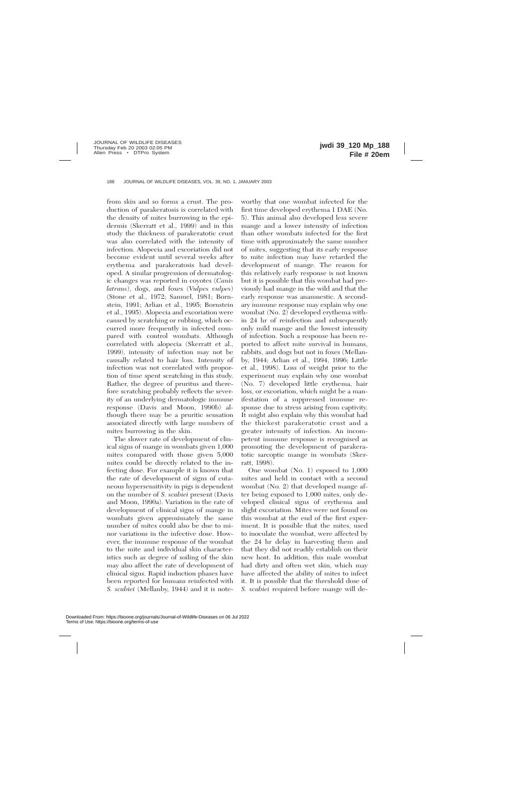from skin and so forms a crust. The production of parakeratosis is correlated with the density of mites burrowing in the epidermis (Skerratt et al., 1999) and in this study the thickness of parakeratotic crust was also correlated with the intensity of infection. Alopecia and excoriation did not become evident until several weeks after erythema and parakeratosis had developed. A similar progression of dermatologic changes was reported in coyotes (*Canis latrans*), dogs, and foxes (*Vulpes vulpes*) (Stone et al., 1972; Samuel, 1981; Bornstein, 1991; Arlian et al., 1995; Bornstein et al., 1995). Alopecia and excoriation were caused by scratching or rubbing, which occurred more frequently in infected compared with control wombats. Although correlated with alopecia (Skerratt et al., 1999), intensity of infection may not be causally related to hair loss. Intensity of infection was not correlated with proportion of time spent scratching in this study. Rather, the degree of pruritus and therefore scratching probably reflects the severity of an underlying dermatologic immune response (Davis and Moon, 1990b) although there may be a pruritic sensation associated directly with large numbers of mites burrowing in the skin.

The slower rate of development of clinical signs of mange in wombats given 1,000 mites compared with those given 5,000 mites could be directly related to the infecting dose. For example it is known that the rate of development of signs of cutaneous hypersensitivity in pigs is dependent on the number of *S. scabiei* present (Davis and Moon, 1990a). Variation in the rate of development of clinical signs of mange in wombats given approximately the same number of mites could also be due to minor variations in the infective dose. However, the immune response of the wombat to the mite and individual skin characteristics such as degree of soiling of the skin may also affect the rate of development of clinical signs. Rapid induction phases have been reported for humans reinfected with *S. scabiei* (Mellanby, 1944) and it is noteworthy that one wombat infected for the first time developed erythema 1 DAE (No. 5). This animal also developed less severe mange and a lower intensity of infection than other wombats infected for the first time with approximately the same number of mites, suggesting that its early response to mite infection may have retarded the development of mange. The reason for this relatively early response is not known but it is possible that this wombat had previously had mange in the wild and that the early response was anamnestic. A secondary immune response may explain why one wombat (No. 2) developed erythema within 24 hr of reinfection and subsequently only mild mange and the lowest intensity of infection. Such a response has been reported to affect mite survival in humans, rabbits, and dogs but not in foxes (Mellanby, 1944; Arlian et al., 1994, 1996; Little et al., 1998). Loss of weight prior to the experiment may explain why one wombat (No. 7) developed little erythema, hair loss, or excoriation, which might be a manifestation of a suppressed immune response due to stress arising from captivity. It might also explain why this wombat had the thickest parakeratotic crust and a greater intensity of infection. An incompetent immune response is recognised as promoting the development of parakeratotic sarcoptic mange in wombats (Skerratt, 1998).

One wombat (No. 1) exposed to 1,000 mites and held in contact with a second wombat (No. 2) that developed mange after being exposed to 1,000 mites, only developed clinical signs of erythema and slight excoriation. Mites were not found on this wombat at the end of the first experiment. It is possible that the mites, used to inoculate the wombat, were affected by the 24 hr delay in harvesting them and that they did not readily establish on their new host. In addition, this male wombat had dirty and often wet skin, which may have affected the ability of mites to infect it. It is possible that the threshold dose of *S. scabiei* required before mange will de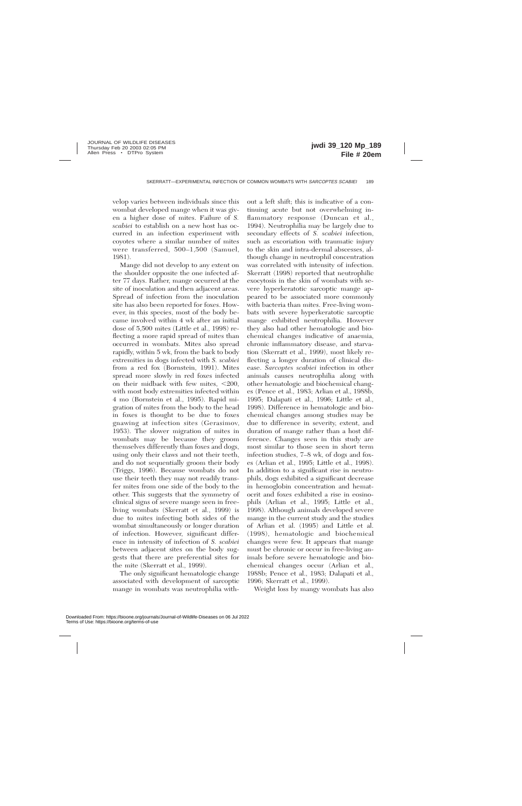velop varies between individuals since this wombat developed mange when it was given a higher dose of mites. Failure of *S. scabiei* to establish on a new host has occurred in an infection experiment with coyotes where a similar number of mites were transferred, 500–1,500 (Samuel, 1981).

Mange did not develop to any extent on the shoulder opposite the one infected after 77 days. Rather, mange occurred at the site of inoculation and then adjacent areas. Spread of infection from the inoculation site has also been reported for foxes. However, in this species, most of the body became involved within 4 wk after an initial dose of 5,500 mites (Little et al., 1998) reflecting a more rapid spread of mites than occurred in wombats. Mites also spread rapidly, within 5 wk, from the back to body extremities in dogs infected with *S. scabiei* from a red fox (Bornstein, 1991). Mites spread more slowly in red foxes infected on their midback with few mites,  $\leq 200$ , with most body extremities infected within 4 mo (Bornstein et al., 1995). Rapid migration of mites from the body to the head in foxes is thought to be due to foxes gnawing at infection sites (Gerasimov, 1953). The slower migration of mites in wombats may be because they groom themselves differently than foxes and dogs, using only their claws and not their teeth, and do not sequentially groom their body (Triggs, 1996). Because wombats do not use their teeth they may not readily transfer mites from one side of the body to the other. This suggests that the symmetry of clinical signs of severe mange seen in freeliving wombats (Skerratt et al., 1999) is due to mites infecting both sides of the wombat simultaneously or longer duration of infection. However, significant difference in intensity of infection of *S. scabiei* between adjacent sites on the body suggests that there are preferential sites for the mite (Skerratt et al., 1999).

The only significant hematologic change associated with development of sarcoptic mange in wombats was neutrophilia without a left shift; this is indicative of a continuing acute but not overwhelming inflammatory response (Duncan et al., 1994). Neutrophilia may be largely due to secondary effects of *S. scabiei* infection, such as excoriation with traumatic injury to the skin and intra-dermal abscesses, although change in neutrophil concentration was correlated with intensity of infection. Skerratt (1998) reported that neutrophilic exocytosis in the skin of wombats with severe hyperkeratotic sarcoptic mange appeared to be associated more commonly with bacteria than mites. Free-living wombats with severe hyperkeratotic sarcoptic mange exhibited neutrophilia. However they also had other hematologic and biochemical changes indicative of anaemia, chronic inflammatory disease, and starvation (Skerratt et al., 1999), most likely reflecting a longer duration of clinical disease. *Sarcoptes scabiei* infection in other animals causes neutrophilia along with other hematologic and biochemical changes (Pence et al., 1983; Arlian et al., 1988b, 1995; Dalapati et al., 1996; Little et al., 1998). Difference in hematologic and biochemical changes among studies may be due to difference in severity, extent, and duration of mange rather than a host difference. Changes seen in this study are most similar to those seen in short term infection studies, 7–8 wk, of dogs and foxes (Arlian et al., 1995; Little et al., 1998). In addition to a significant rise in neutrophils, dogs exhibited a significant decrease in hemoglobin concentration and hematocrit and foxes exhibited a rise in eosinophils (Arlian et al., 1995; Little et al., 1998). Although animals developed severe mange in the current study and the studies of Arlian et al. (1995) and Little et al. (1998), hematologic and biochemical changes were few. It appears that mange must be chronic or occur in free-living animals before severe hematologic and biochemical changes occur (Arlian et al., 1988b; Pence et al., 1983; Dalapati et al., 1996; Skerratt et al., 1999).

Weight loss by mangy wombats has also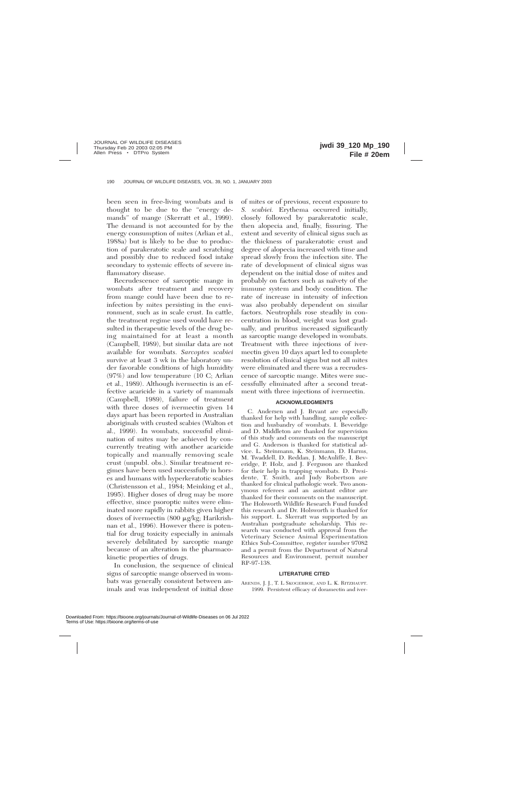been seen in free-living wombats and is thought to be due to the ''energy demands'' of mange (Skerratt et al., 1999). The demand is not accounted for by the energy consumption of mites (Arlian et al., 1988a) but is likely to be due to production of parakeratotic scale and scratching and possibly due to reduced food intake secondary to systemic effects of severe inflammatory disease.

Recrudescence of sarcoptic mange in wombats after treatment and recovery from mange could have been due to reinfection by mites persisting in the environment, such as in scale crust. In cattle, the treatment regime used would have resulted in therapeutic levels of the drug being maintained for at least a month (Campbell, 1989), but similar data are not available for wombats. *Sarcoptes scabiei* survive at least 3 wk in the laboratory under favorable conditions of high humidity (97%) and low temperature (10 C; Arlian et al., 1989). Although ivermectin is an effective acaricide in a variety of mammals (Campbell, 1989), failure of treatment with three doses of ivermectin given 14 days apart has been reported in Australian aboriginals with crusted scabies (Walton et al., 1999). In wombats, successful elimination of mites may be achieved by concurrently treating with another acaricide topically and manually removing scale crust (unpubl. obs.). Similar treatment regimes have been used successfully in horses and humans with hyperkeratotic scabies (Christensson et al., 1984; Meinking et al., 1995). Higher doses of drug may be more effective, since psoroptic mites were eliminated more rapidly in rabbits given higher doses of ivermectin (800 μg/kg; Harikrishnan et al., 1996). However there is potential for drug toxicity especially in animals severely debilitated by sarcoptic mange because of an alteration in the pharmacokinetic properties of drugs.

In conclusion, the sequence of clinical signs of sarcoptic mange observed in wombats was generally consistent between animals and was independent of initial dose

of mites or of previous, recent exposure to *S. scabiei.* Erythema occurred initially, closely followed by parakeratotic scale, then alopecia and, finally, fissuring. The extent and severity of clinical signs such as the thickness of parakeratotic crust and degree of alopecia increased with time and spread slowly from the infection site. The rate of development of clinical signs was dependent on the initial dose of mites and probably on factors such as naïvety of the immune system and body condition. The rate of increase in intensity of infection was also probably dependent on similar factors. Neutrophils rose steadily in concentration in blood, weight was lost gradually, and pruritus increased significantly as sarcoptic mange developed in wombats. Treatment with three injections of ivermectin given 10 days apart led to complete resolution of clinical signs but not all mites were eliminated and there was a recrudescence of sarcoptic mange. Mites were successfully eliminated after a second treatment with three injections of ivermectin.

# **ACKNOWLEDGMENTS**

C. Andersen and J. Bryant are especially thanked for help with handling, sample collection and husbandry of wombats. I. Beveridge and D. Middleton are thanked for supervision of this study and comments on the manuscript and G. Anderson is thanked for statistical advice. L. Steinmann, K. Steinmann, D. Harms, M. Twaddell, D. Reddan, J. McAuliffe, I. Beveridge, P. Holz, and J. Ferguson are thanked for their help in trapping wombats. D. Presidente, T. Smith, and Judy Robertson are thanked for clinical pathologic work. Two anonymous referees and an assistant editor are thanked for their comments on the manuscript. The Holsworth Wildlife Research Fund funded this research and Dr. Holsworth is thanked for his support. L. Skerratt was supported by an Australian postgraduate scholarship. This research was conducted with approval from the Veterinary Science Animal Experimentation Ethics Sub-Committee, register number 97082 and a permit from the Department of Natural Resources and Environment, permit number RP-97-138.

# **LITERATURE CITED**

ARENDS, J. J., T. L SKOGERBOE, AND L. K. RITZHAUPT. 1999. Persistent efficacy of doramectin and iver-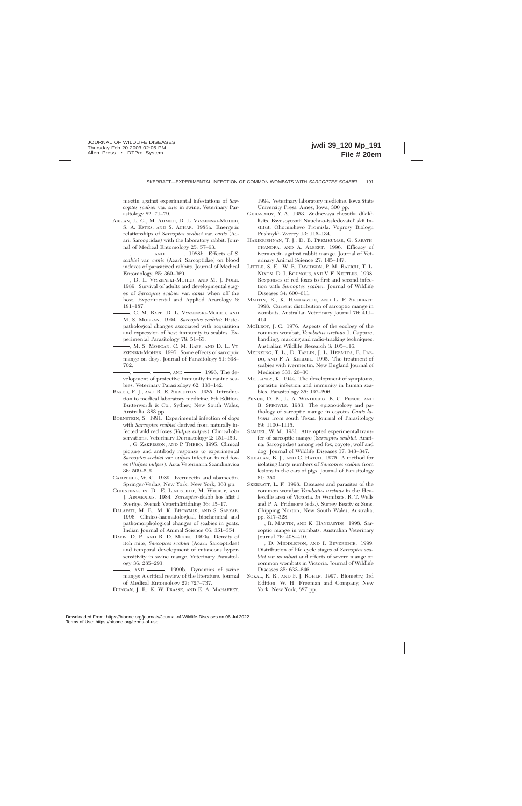mectin against experimental infestations of *Sarcoptes scabiei* var. *suis* in swine. Veterinary Parasitology 82: 71–79.

- ARLIAN, L. G., M. AHMED, D. L. VYSZENSKI-MOHER, S. A. ESTES, AND S. ACHAR. 1988a. Energetic relationships of *Sarcoptes scabiei* var. *canis* (Acari: Sarcoptidae) with the laboratory rabbit. Journal of Medical Entomology 25: 57–63.
	- , , AND , 1988b. Effects of *S. scabiei* var. *canis* (Acari: Sarcoptidae) on blood indexes of parasitized rabbits. Journal of Medical Entomology. 25: 360–369.
	- , D. L. VYSZENSKI-MOHER, AND M. J. POLE. 1989. Survival of adults and developmental stages of *Sarcoptes scabiei* var. *canis* when off the host. Experimental and Applied Acarology 6: 181–187.
- , C. M. RAPP, D. L. VYSZENSKI-MOHER, AND M. S. MORGAN. 1994. *Sarcoptes scabiei*: Histopathological changes associated with acquisition and expression of host immunity to scabies. Experimental Parasitology 78: 51–63.
- , M. S. MORGAN, C. M. RAPP, AND D. L. VY-SZENSKI-MOHER. 1995. Some effects of sarcoptic mange on dogs. Journal of Parasitology 81: 698– 702.
- $\rightarrow$ ,  $\Delta$ ND  $\rightarrow$  1996. The development of protective immunity in canine scabies. Veterinary Parasitology 62: 133–142.
- BAKER, F. J., AND R. E. SILVERTON. 1985. Introduction to medical laboratory medicine, 6th Edition. Butterworth & Co., Sydney, New South Wales, Australia, 383 pp.
- BORNSTEIN, S. 1991. Experimental infection of dogs with *Sarcoptes scabiei* derived from naturally infected wild red foxes (*Vulpes vulpes*): Clinical observations. Veterinary Dermatology 2: 151–159.
	- , G. ZAKRISSON, AND P. THEBO. 1995. Clinical picture and antibody response to experimental *Sarcoptes scabiei* var. *vulpes* infection in red foxes (*Vulpes vulpes*). Acta Veterinaria Scandinavica 36: 509–519.
- CAMPBELL, W. C. 1989. Ivermectin and abamectin. Springer-Verlag, New York, New York, 363 pp.
- CHRISTENSSON, D., E. LINDSTEDT, M. WIERUP, AND J. AROSENIUS. 1984. Sarcoptes-skabb hos häst I Sverige. Svensk Veterinärtidning 36: 15–17.
- DALAPATI, M. R., M. K. BHOWMIK, AND S. SARKAR. 1996. Clinico-haematological, biochemical and pathomorphological changes of scabies in goats. Indian Journal of Animal Science 66: 351–354.
- DAVIS, D. P., AND R. D. MOON. 1990a. Density of itch mite, *Sarcoptes scabiei* (Acari: Sarcoptidae) and temporal development of cutaneous hypersensitivity in swine mange. Veterinary Parasitology 36: 285–293.
	- $-$ , AND  $\longrightarrow$  1990b. Dynamics of swine mange: A critical review of the literature. Journal of Medical Entomology 27: 727–737.

DUNCAN, J. R., K. W. PRASSE, AND E. A. MAHAFFEY.

1994. Veterinary laboratory medicine. Iowa State University Press, Ames, Iowa, 300 pp.

- GERASIMOV, Y. A. 1953. Zudnevaya chesotka dikikh lisits. Bsyesoyuznii Nauchno-issledovatel' skii Institut, Ohotnichevo Promisla. Voprosy Biologii Pushnykh Zverey 13: 116–134.
- HARIKRISHNAN, T. J., D. B. PREMKUMAR, G. SARATH-CHANDRA, AND A. ALBERT. 1996. Efficacy of ivermectin against rabbit mange. Journal of Veterinary Animal Science 27: 145–147.
- LITTLE, S. E., W. R. DAVIDSON, P. M. RAKICH, T. L. NIXON, D. I. BOUNOUS, AND V. F. NETTLES. 1998. Responses of red foxes to first and second infection with *Sarcoptes scabiei.* Journal of Wildlife Diseases 34: 600–611.
- MARTIN, R., K. HANDASYDE, AND L. F. SKERRATT. 1998. Current distribution of sarcoptic mange in wombats. Australian Veterinary Journal 76: 411– 414.
- MCILROY, J. C. 1976. Aspects of the ecology of the common wombat, *Vombatus ursinus* 1. Capture, handling, marking and radio-tracking techniques. Australian Wildlife Research 3: 105–116.
- MEINKING, T. L., D. TAPLIN, J. L. HERMIDA, R. PAR-DO, AND F. A. KERDEL. 1995. The treatment of scabies with ivermectin. New England Journal of Medicine 333: 26–30.
- MELLANBY, K. 1944. The development of symptoms, parasitic infection and immunity in human scabies. Parasitology 35: 197–206.
- PENCE, D. B., L. A. WINDBERG, B. C. PENCE, AND R. SPROWLS. 1983. The epizootiology and pathology of sarcoptic mange in coyotes *Canis latrans* from south Texas. Journal of Parasitology 69: 1100–1115.
- SAMUEL, W. M. 1981. Attempted experimental transfer of sarcoptic mange (*Sarcoptes scabiei,* Acarina: Sarcoptidae) among red fox, coyote, wolf and dog. Journal of Wildlife Diseases 17: 343–347.
- SHEAHAN, B. J., AND C. HATCH. 1975. A method for isolating large numbers of *Sarcoptes scabiei* from lesions in the ears of pigs. Journal of Parasitology 61: 350.
- SKERRATT, L. F. 1998. Diseases and parasites of the common wombat *Vombatus ursinus* in the Healesville area of Victoria. *In* Wombats, R. T. Wells and P. A. Pridmore (eds.). Surrey Beatty & Sons, Chipping Norton, New South Wales, Australia, pp. 317–328.
- , R. MARTIN, AND K. HANDASYDE. 1998. Sarcoptic mange in wombats. Australian Veterinary Journal 76: 408–410.
- , D. MIDDLETON, AND I. BEVERIDGE. 1999. Distribution of life cycle stages of *Sarcoptes scabiei* var *wombati* and effects of severe mange on common wombats in Victoria. Journal of Wildlife Diseases 35: 633–646.
- SOKAL, R. R., AND F. J. ROHLF. 1997. Biometry, 3rd Edition. W. H. Freeman and Company, New York, New York, 887 pp.